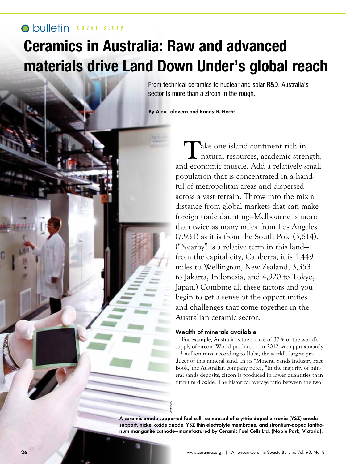## **O** bulletin I cover story

# **Ceramics in Australia: Raw and advanced materials drive Land Down Under's global reach**

From technical ceramics to nuclear and solar R&D, Australia's sector is more than a zircon in the rough.

By Alex Talavera and Randy B. Hecht

Take one island continent rich in<br>
natural resources, academic strength, and economic muscle. Add a relatively small population that is concentrated in a handful of metropolitan areas and dispersed across a vast terrain. Throw into the mix a distance from global markets that can make foreign trade daunting—Melbourne is more than twice as many miles from Los Angeles (7,931) as it is from the South Pole (3,614). ("Nearby" is a relative term in this land from the capital city, Canberra, it is 1,449 miles to Wellington, New Zealand; 3,353 to Jakarta, Indonesia; and 4,920 to Tokyo, Japan.) Combine all these factors and you begin to get a sense of the opportunities and challenges that come together in the Australian ceramic sector.

### Wealth of minerals available

For example, Australia is the source of 37% of the world's supply of zircon. World production in 2012 was approximately 1.3 million tons, according to Iluka, the world's largest producer of this mineral sand. In its "Mineral Sands Industry Fact Book,"the Australian company notes, "In the majority of mineral sands deposits, zircon is produced in lower quantities than titanium dioxide. The historical average ratio between the two

A ceramic anode-supported fuel cell—composed of a yttria-doped zirconia (YSZ) anode support, nickel oxide anode, YSZ thin electrolyte membrane, and strontium-doped lanthanum manganite cathode—manufactured by Ceramic Fuel Cells Ltd. (Noble Park, Victoria).

Credit: CFC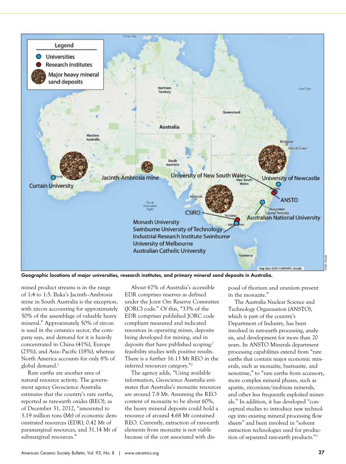

Geographic locations of major universities, research institutes, and primary mineral sand deposits in Australia.

mined product streams is in the range of 1:4 to 1:5. Iluka's Jacinth–Ambrosia mine in South Australia is the exception, with zircon accounting for approximately 50% of the assemblage of valuable heavy mineral." Approximately 50% of zircon is used in the ceramics sector, the company says, and demand for it is heavily concentrated in China (41%), Europe (25%), and Asia–Pacific (18%), whereas North America accounts for only 8% of global demand.<sup>1</sup>

Rare earths are another area of natural resource activity. The government agency Geoscience Australia estimates that the country's rare earths, reported as rare-earth oxides (REO), as of December 31, 2012, "amounted to 3.19 million tons (Mt) of economic demonstrated resources (EDR), 0.42 Mt of paramarginal resources, and 31.14 Mt of submarginal resources."

About 67% of Australia's accessible EDR comprises reserves as defined under the Joint Ore Reserve Committee (JORC) code." Of this, "33% of the EDR comprises published JORC code compliant measured and indicated resources in operating mines, deposits being developed for mining, and in deposits that have published scoping/ feasibility studies with positive results. There is a further 16.13 Mt REO in the inferred resources category."2

The agency adds, "Using available information, Geoscience Australia estimates that Australia's monazite resources are around 7.8 Mt. Assuming the REO content of monazite to be about 60%, the heavy mineral deposits could hold a resource of around 4.68 Mt contained REO. Currently, extraction of rare-earth elements from monazite is not viable because of the cost associated with disposal of thorium and uranium present in the monazite."

The Australia Nuclear Science and Technology Organisation (ANSTO), which is part of the country's Department of Industry, has been involved in rare-earth processing, analysis, and development for more than 20 years. Its ANSTO Minerals department processing capabilities extend from "rare earths that contain major economic minerals, such as monazite, bastnasite, and xenotime," to "rare earths from accessory, more complex mineral phases, such as apatite, zirconium/niobium minerals, and other less frequently exploited minerals." In addition, it has developed "conceptual studies to introduce new technology into existing mineral processing flow sheets" and been involved in "solvent extraction technologies used for production of separated rare-earth products."3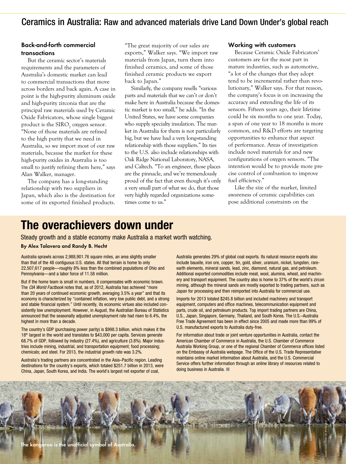## Ceramics in Australia: Raw and advanced materials drive Land Down Under's global reach

### Back-and-forth commercial transactions

But the ceramic sector's materials requirements and the parameters of Australia's domestic market can lead to commercial transactions that move across borders and back again. A case in point is the high-purity aluminum oxide and high-purity zirconia that are the principal raw materials used by Ceramic Oxide Fabricators, whose single biggest product is the  $\mathrm{SIRO}_2$  oxygen sensor. "None of those materials are refined to the high purity that we need in Australia, so we import most of our raw materials, because the market for these high-purity oxides in Australia is too small to justify refining them here," says Alan Walker, manager.

The company has a long-standing relationship with two suppliers in Japan, which also is the destination for some of its exported finished products. "The great majority of our sales are exports," Walker says. "We import raw materials from Japan, turn them into finished ceramics, and some of those finished ceramic products we export back to Japan."

Similarly, the company resells "various parts and materials that we can't or don't make here in Australia because the domestic market is too small," he adds. "In the United States, we have some companies who supply specialty insulation. The market in Australia for them is not particularly big, but we have had a very long-standing relationship with those suppliers." Its ties to the U.S. also include relationships with Oak Ridge National Laboratory, NASA, and Caltech. "To an engineer, those places are the pinnacle, and we're tremendously proud of the fact that even though it's only a very small part of what we do, that those very highly regarded organizations sometimes come to us."

#### Working with customers

Because Ceramic Oxide Fabricators' customers are for the most part in mature industries, such as automotive, "a lot of the changes that they adopt tend to be incremental rather than revolutionary," Walker says. For that reason, the company's focus is on increasing the accuracy and extending the life of its sensors. Fifteen years ago, their lifetime could be six months to one year. Today, a span of one year to 18 months is more common, and R&D efforts are targeting opportunities to enhance that aspect of performance. Areas of investigation include novel materials for and new configurations of oxygen sensors. "The intention would be to provide more precise control of combustion to improve fuel efficiency."

Like the size of the market, limited awareness of ceramic capabilities can pose additional constraints on the

## **The overachievers down under**

Steady growth and a stable economy make Australia a market worth watching.

#### By Alex Talavera and Randy B. Hecht

Australia sprawls across 2,988,901.76 square miles, an area slightly smaller than that of the 48 contiguous U.S. states. All that terrain is home to only 22,507,617 people—roughly 8% less than the combined populations of Ohio and Pennsylvania—and a labor force of 11.58 million.

But if the home team is small in numbers, it compensates with economic brawn. The *CIA World Factbook* notes that, as of 2012, Australia has achieved "more than 20 years of continued economic growth, averaging 3.5% a year" and that its economy is characterized by "contained inflation, very low public debt, and a strong and stable financial system." Until recently, its economic virtues also included consistently low unemployment. However, in August, the Australian Bureau of Statistics announced that the seasonally adjusted unemployment rate had risen to 6.4%, the highest in more than a decade.

The country's GDP (purchasing power parity) is \$998.3 billion, which makes it the 18<sup>th</sup> largest in the world and translates to \$43,000 per capita. Services generate 68.7% of GDP, followed by industry (27.4%), and agriculture (3.8%). Major industries include mining, industrial, and transportation equipment; food processing; chemicals; and steel. For 2013, the industrial growth rate was 3.2%.

Australia's trading partners are concentrated in the Asia–Pacific region. Leading destinations for the country's exports, which totaled \$251.7 billion in 2013, were China, Japan, South Korea, and India. The world's largest net exporter of coal,

Australia generates 29% of global coal exports. Its natural resource exports also include bauxite, iron ore, copper, tin, gold, silver, uranium, nickel, tungsten, rareearth elements, mineral sands, lead, zinc, diamond, natural gas, and petroleum. Additional exported commodities include meat, wool, alumina, wheat, and machinery and transport equipment. The country also is home to 37% of the world's zircon mining, although the mineral sands are mostly exported to trading partners, such as Japan for processing and then reimported into Australia for commercial use.

Imports for 2013 totaled \$245.8 billion and included machinery and transport equipment, computers and office machines, telecommunication equipment and parts, crude oil, and petroleum products. Top import trading partners are China, U.S., Japan, Singapore, Germany, Thailand, and South Korea. The U.S.–Australia Free Trade Agreement has been in effect since 2005 and made more than 99% of U.S. manufactured exports to Australia duty-free.

For information about trade or joint venture opportunities in Australia, contact the American Chamber of Commerce in Australia, the U.S. Chamber of Commerce Australia Working Group, or one of the regional Chamber of Commerce offices listed on the Embassy of Australia webpage. The Office of the U.S. Trade Representative maintains online market information about Australia, and the U.S. Commercial Service offers further information through an online library of resources related to doing business in Australia.  $\Box$ 

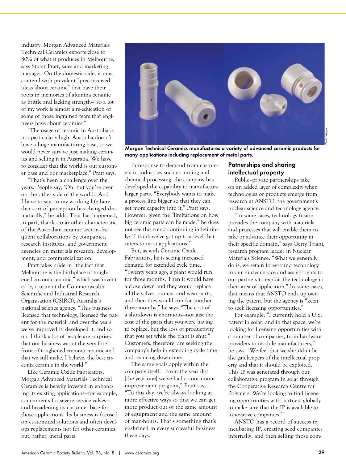industry. Morgan Advanced Materials Technical Ceramics exports close to 80% of what it produces in Melbourne, says Stuart Pratt, sales and marketing manager. On the domestic side, it must contend with prevalent "preconceived ideas about ceramic" that have their roots in memories of alumina ceramic as brittle and lacking strength—"so a lot of my work is almost a re-education of some of those ingrained fears that engineers have about ceramics."

"The usage of ceramic in Australia is not particularly high. Australia doesn't have a huge manufacturing base, so we would never survive just making ceramics and selling it in Australia. We have to consider that the world is our customer base and our marketplace," Pratt says.

"That's been a challenge over the years. People say, 'Oh, but you're over on the other side of the world.' And I have to say, in my working life here, that sort of perception has changed dramatically," he adds. That has happened, in part, thanks to another characteristic of the Australian ceramic sector—frequent collaborations by companies, research institutes, and government agencies on materials research, development, and commercialization.

Pratt takes pride in "the fact that Melbourne is the birthplace of toughened zirconia ceramic," which was invented by a team at the Commonwealth Scientific and Industrial Research Organisation (CSIRO), Australia's national science agency. "This business licensed that technology, licensed the patent for the material, and over the years we've improved it, developed it, and so on. I think a lot of people are surprised that our business was at the very forefront of toughened zirconia ceramic and that we still make, I believe, the best zirconia ceramic in the world."

Like Ceramic Oxide Fabricators, Morgan Advanced Materials Technical Ceramics is heavily invested in enhancing its existing applications—for example, components for severe service valves and broadening its customer base for those applications. Its business is focused on customized solutions and often develops replacements not for other ceramics, but, rather, metal parts.



Morgan Technical Ceramics manufactures a variety of advanced ceramic products for many applications including replacement of metal parts.

In response to demand from customers in industries such as mining and chemical processing, the company has developed the capability to manufacture larger parts. "Everybody wants to make a process line bigger so that they can get more capacity into it," Pratt says. However, given the "limitations on how big ceramic parts can be made," he does not see this trend continuing indefinitely: "I think we've got up to a level that caters to most applications."

But, as with Ceramic Oxide Fabricators, he is seeing increased demand for extended cycle time. "Twenty years ago, a plant would run for three months. Then it would have a close down and they would replace all the valves, pumps, and wear parts, and then they would run for another three months," he says. "The cost of a shutdown is enormous—not just the cost of the parts that you were having to replace, but the loss of productivity that you get while the plant is shut." Customers, therefore, are seeking the company's help in extending cycle time and reducing downtime.

The same goals apply within the company itself. "From the year dot [the year one] we've had a continuous improvement program," Pratt says. "To this day, we're always looking at more effective ways so that we can get more product out of the same amount of equipment and the same amount of man-hours. That's something that's enshrined in every successful business these days."

## Patnerships and sharing intellectual property

Public–private partnerships take on an added layer of complexity when technologies or products emerge from research at ANSTO, the government's nuclear science and technology agency.

"In some cases, technology fusion provides the company with materials and processes that will enable them to take or advance their opportunity in their specific domain," says Gerry Triani, research program leader in Nuclear Materials Science. "What we generally do is, we retain foreground technology in our nuclear space and assign rights to our partners to exploit the technology in their area of application." In some cases, that means that ANSTO ends up owning the patent, but the agency is "keen to seek licensing opportunities."

For example, "I currently hold a U.S. patent in solar, and in that space, we're looking for licensing opportunities with a number of companies, from hardware providers to module manufacturers," he says. "We feel that we shouldn't be the gatekeepers of the intellectual property and that it should be exploited. This IP was generated through our collaborative program in solar through the Cooperative Research Centre for Polymers. We're looking to find licensing opportunities with partners globally to make sure that the IP is available to innovative companies."

ANSTO has a record of success in incubating IP, creating seed companies internally, and then selling those com-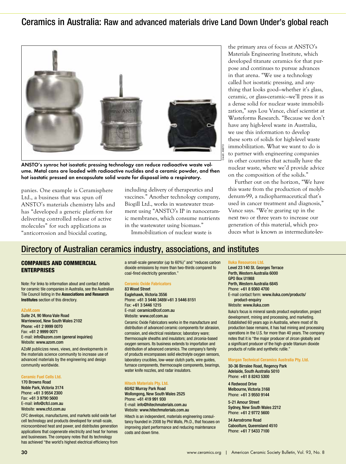## Ceramics in Australia: Raw and advanced materials drive Land Down Under's global reach



ANSTO's synroc hot isostatic pressing technology can reduce radioactive waste volume. Metal cans are loaded with radioactive nuclides and a ceramic powder, and then hot isostatic pressed an encapsulate solid waste for disposal into a respiratory.

panies. One example is Ceramisphere Ltd., a business that was spun off ANSTO's materials chemistry labs and has "developed a generic platform for delivering controlled release of active molecules" for such applications as "anticorrosion and biocidal coating,

including delivery of therapeutics and vaccines." Another technology company, Biogill Ltd., works in wastewater treatment using "ANSTO's IP in nanoceramic membranes, which consume nutrients in the wastewater using biomass."

Immobilization of nuclear waste is

the primary area of focus at ANSTO's Materials Engineering Institute, which developed titanate ceramics for that purpose and continues to pursue advances in that arena. "We use a technology called hot isostatic pressing, and anything that looks good—whether it's glass, ceramic, or glass-ceramic—we'll press it as a dense solid for nuclear waste immobilization," says Lou Vance, chief scientist at Wasteforms Research. "Because we don't have any high-level waste in Australia, we use this information to develop these sorts of solids for high-level waste immobilization. What we want to do is to partner with engineering companies in other countries that actually have the nuclear waste, where we'd provide advice on the composition of the solids."

Further out on the horizon, "We have this waste from the production of molybdenum-99, a radiopharmaceutical that's used in cancer treatment and diagnosis," Vance says. "We're gearing up in the next two or three years to increase our generation of this material, which produces what is known as intermediate-lev-

## Directory of Australian ceramics industry, associations, and institutes

#### COMPANIES AND COMMERCIAL ENTERPRISES

Note: For links to information about and contact details for ceramic tile companies in Australia, see the Australian Tile Council listing in the **Associations and Research Institutes** section of this directory.

#### **AZoM.com**

Suite 24, 90 Mona Vale Road Warriewood, New South Wales 2102 Phone: +61 2 9999 0070 Fax: +61 2 9999 0071 E-mail: info@azom.com (general inquiries) Website: www.azom.com

AZoM publicizes news, views, and developments in the materials science community to increase use of advanced materials by the engineering and design community worldwide.

#### **Ceramic Fuel Cells Ltd.**

170 Browns Road Noble Park, Victoria 3174 Phone: +61 3 9554 2300 Fax: +61 3 9790 5600 E-mail: info@cfcl.com.au Website: www.cfcl.com.au

CFC develops, manufactures, and markets solid oxide fuel cell technology and products developed for small-scale, microcombined heat and power, and distributes generation applications that cogenerate electricity and heat for homes and businesses. The company notes that its technology has achieved "the world's highest electrical efficiency from

a small-scale generator (up to 60%)" and "reduces carbon dioxide emissions by more than two-thirds compared to coal-fired electricity generation."

#### **Ceramic Oxide Fabricators**

83 Wood Street Eaglehawk, Victoria 3556 Phone: +61 3 5446 3489/+61 3 5446 8151 Fax: +61 3 5446 1215 E-mail: ceramics@cof.com.au Website: www.cof.com.au

Ceramic Oxide Fabricators works in the manufacture and distribution of advanced ceramic components for abrasion, corrosion, and electrical resistance; laboratory ware; thermocouple sheaths and insulators; and zirconia-based oxygen sensors. Its business extends to importation and distribution of advanced ceramics. The company's family of products encompasses solid electrolyte oxygen sensors, laboratory crucibles, low-wear clutch parts, wire guides, furnace components, thermocouple components, bearings, water knife nozzles, and radar insulators.

#### **Hitech Materials Pty. Ltd.**

60/62 Murray Park Road Wollongong, New South Wales 2525 Phone: +61 419 991 930 E-mail: info@hitechmaterials.com.au Website: www.hitechmaterials.com.au

Hitech is an independent, materials engineering consultancy founded in 2008 by Phil Walls, Ph.D., that focuses on improving plant performance and reducing maintenance costs and down time.

#### **Iluka Resources Ltd.**

Level 23 140 St. Georges Terrace Perth, Western Australia 6000 GPO Box U1988 Perth, Western Australia 6845 Phone: +61 8 9360 4700 E-mail contact form: www.iluka.com/products/ product-enquiry Website: www.iluka.com

Iluka's focus is mineral sands product exploration, project development, mining and processing, and marketing. Established 60 years ago in Australia, where most of its production base remains, it has had mining and processing operations in the U.S. for more than 40 years. The company notes that it is "the major producer of zircon globally and a significant producer of the high-grade titanium dioxide products of rutile and synthetic rutile."

#### **Morgan Technical Ceramics Australia Pty. Ltd.**

30-36 Birralee Road, Regency Park Adelaide, South Australia 5010 Phone: +61 8 8243 5300

4 Redwood Drive Melbourne, Victoria 3168 Phone: +61 3 9550 9144

5-21 Amour Street Sydney, New South Wales 2212 Phone: +61 2 9772 5600

34 Aerodrome Road Caboolture, Queensland 4510 Phone: +61 7 5433 7100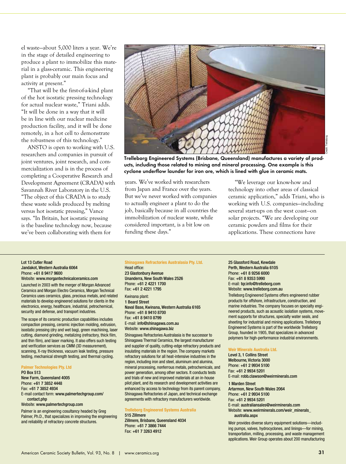el waste—about 5,000 liters a year. We're in the stage of detailed engineering to produce a plant to immobilize this material in a glass-ceramic. This engineering plant is probably our main focus and activity at present."

"That will be the first-of-a-kind plant of the hot isostatic pressing technology for actual nuclear waste," Triani adds. "It will be done in a way that it will be in line with our nuclear medicine production facility, and it will be done remotely, in a hot cell to demonstrate the robustness of this technology."

ANSTO is open to working with U.S. researchers and companies in pursuit of joint ventures, joint research, and commercialization and is in the process of completing a Cooperative Research and Development Agreement (CRADA) with Savannah River Laboratory in the U.S. "The object of this CRADA is to study these waste solids produced by melting versus hot isostatic pressing," Vance says. "In Britain, hot isostatic pressing is the baseline technology now, because we've been collaborating with them for



Trelleborg Engineered Systems (Brisbane, Queensland) manufactures a variety of products, including those related to mining and mineral processing. One example is this cyclone underflow launder for iron ore, which is lined with glue in ceramic mats.

years. We've worked with researchers from Japan and France over the years. But we've never worked with companies to actually engineer a plant to do the job, basically because in all countries the immobilization of nuclear waste, while considered important, is a bit low on funding these days."

"We leverage our know-how and technology into other areas of classical ceramic application," adds Triani, who is working with U.S. companies—including several start-ups on the west coast—on solar projects. "We are developing our ceramic powders and films for their applications. These connections have

#### Lot 13 Cutler Road Jandakot, Western Australia 6064 Phone: +61 8 9417 9600 Website: www.morgantechnicalceramics.com

Launched in 2003 with the merger of Morgan Advanced Ceramics and Morgan Electro Ceramics, Morgan Technical Ceramics uses ceramics, glass, precious metals, and related materials to develop engineered solutions for clients in the electronics, energy, healthcare, industrial, petrochemical, security and defense, and transport industries.

The scope of its ceramic production capabilities includes compaction pressing, ceramic injection molding, extrusion, isostatic pressing (dry and wet bag), green machining, laser cutting, diamond grinding, metalizing (refractory, thick film, and thin film), and laser marking. It also offers such testing and verification services as CMM (3D measurement), scanning, X-ray thickness, vacuum leak testing, pressure testing, mechanical strength testing, and thermal cycling.

#### **Palmer Technologies Pty. Ltd** PO Box 513

New Farm, Queensland 4005 Phone: +61 7 3852 4448 Fax: +61 7 3852 4934 E-mail contact form: www.palmertechgroup.com/ contact.php

Website: www.palmertechgroup.com

Palmer is an engineering cosultancy headed by Greg Palmer, Ph.D., that specializes in improving the engineering and reliability of refractory concrete structures.

#### **Shinagawa Refractories Australasia Pty. Ltd.**

Head office: 23 Glastonbury Avenue Unanderra, New South Wales 2526 Phone: +61 2 4221 1700 Fax: +61 2 4221 1795

Kwinana plant: 1 Beard Street Naval Base, Kwinana, Western Australia 6165 Phone: +61 8 9410 8700 Fax: +61 8 9410 8799 E-mail: info@shinagawa.com.au Website: www.shinagawa.biz

Shinagawa Refractories Australasia is the successor to Shinagawa Thermal Ceramics, the largest manufacturer and supplier of quality, cutting-edge refractory products and insulating materials in the region. The company markets refractory solutions for all heat-intensive industries in the region, including iron and steel, aluminum and alumina, mineral processing, nonferrous metals, petrochemicals, and power generation, among other sectors. It conducts tests and trials of new and improved materials at an in-house pilot plant, and its research and development activities are enhanced by access to technology from its parent company, Shinagawa Refractories of Japan, and technical exchange agreements with refractory manufacturers worldwide.

#### **Trelleborg Engineered Systems Australia**

515 Zillmere Zillmere, Brisbane, Queensland 4034 Phone: +61 7 3866 7444 Fax: +61 7 3263 4912

#### 25 Glassford Road, Kewdale

Perth, Western Australia 6105 Phone: +61 8 9256 6000 Fax: +61 8 9353 5990 E-mail: tqr.info@trelleborg.com Website: www.trelleborg.com.au

Trelleborg Engineered Systems offers engineered rubber products for offshore, infrastructure, construction, and marine industries. The company focuses on specialty engineered products, such as acoustic isolation systems, movement supports for structures, specialty water seals, and sheeting for industrial and mining applications. Trelleborg Engineered Systems is part of the worldwide Trelleborg Group, founded in 1905, that specializes in advanced polymers for high-performance industrial environments.

#### **Weir Minerals Australia Ltd.**

Level 3, 1 Collins Street Melbourne, Victoria 3000 Phone: +61 2 9934 5100 Fax: +61 2 9934 5201 E-mail: robb.clawson@weirminerals.com

#### 1 Marden Street

Artarmon, New South Wales 2064 Phone: +61 2 9934 5100 Fax: +61 2 9934 5201 E-mail: australiansales@weirminerals.com Website: www.weirminerals.com/weir\_minerals\_ australia.aspx

Weir provides diverse slurry equipment solutions—including pumps, valves, hydrocyclones, and linings—for mining, transportation, milling, processing, and waste management applications. Weir Group operates about 200 manufacturing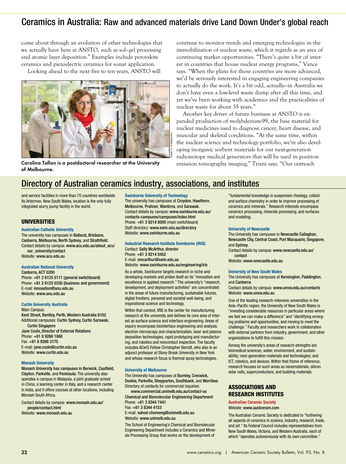## Ceramics in Australia: Raw and advanced materials drive Land Down Under's global reach

come about through an evolution of other technologies that we actually have here at ANSTO, such as sol–gel processing and atomic layer deposition." Examples include perovskite ceramics and piezoelectric ceramics for sonar application.

Looking ahead to the next five to ten years, ANSTO will



Carolina Tallon is a postdoctoral researcher at the University of Melbourne.

continue to monitor trends and emerging technologies in the immobilization of nuclear waste, which it regards as an area of continuing market opportunities. "There's quite a bit of interest in countries that house nuclear energy programs," Vance says. "When the plans for those countries are more advanced, we'd be seriously interested in engaging engineering companies to actually do the work. It's a bit odd, actually—in Australia we don't have even a low-level waste dump after all this time, and yet we've been working with academics and the practicalities of nuclear waste for about 35 years."

Another key driver of future business at ANSTO is expanded production of molybdenum-99, the base material for nuclear medicines used to diagnose cancer, heart disease, and muscular and skeletal conditions. "At the same time, within the nuclear science and technology portfolio, we're also developing inorganic sorbent materials for our next-generation radioisotope medical generators that will be used in positron emission tomography imaging," Triani says. "Our outreach

## Directory of Australian ceramics industry, associations, and institutes

and service facilities in more than 70 countries worldwide. Its Artarmon, New South Wales, location is the only fully integrated slurry pump facility in the world.

#### UNIVERSITIES

#### **Australian Catholic University**

The university has campuses in Ballarat, Brisbane, Canberra, Melbourne, North Sydney, and Strathfield. Contact details by campus: www.acu.edu.au/about\_acu/ our\_university/contact

Website: www.acu.edu.au

#### **Australian National University**

Canberra, ACT 0200 Phone: +61 2 6125 5111 (general switchboard) Phone: +61 2 6125 0330 (business and government) E-mail: innovation@anu.edu.au Website: www.anu.edu.au

#### **Curtin University Australia**

Main Campus: Kent Street, Bentley, Perth, Western Australia 6102 Additional campuses: Curtin Sydney, Curtin Sarawak, Curtin Singapore Jane Coole, Director of External Relations Phone: +61 8 9266 1868 Fax: +61 8 9266 3175 E-mail: jane.coole@curtin.edu.au Website: www.curtin.edu.au

#### **Monash University**

Monash University has campuses in Berwick, Caulfield, Clayton, Parkville, and Peninsula. The university also operates a campus in Malaysia, a joint graduate school in China, a learning center in Italy, and a research center in India, and it offers courses at other locations, including Monash South Africa.

Contact details by campus: www.monash.edu.au/ people/contact.html

Website: www.monash.edu.au

#### **Swinburne University of Technology**

The university has campuses at Croydon, Hawthorn, Melbourne, Prahran, Wantirna, and Sarawak. Contact details by campus: www.swinburne.edu.au/ contacts-campuses/campuses/index.html Phone: +61 3 9214 8000 (main switchboard) Staff directory: www.swin.edu.au/directory Website: www.swinburne.edu.au

#### **Industrial Research Institute Swinburne (IRIS)**  Contact: Sally McArthur, director Phone: +61 3 9214 8452

E-mail: smcarthur@swin.edu.au Website: www.swinburne.edu.au/engineering/iris

As a whole, Swinburne targets research in niche and developing markets and prides itself on its "innovation and excellence in applied research." The university's "research, development, and deployment activities" are concentrated in the areas of future manufacturing, sustainable futures, digital frontiers, personal and societal well-being, and inspirational science and technology.

Within that context, IRIS is the center for manufacturing research at the university and defines its core area of interest as surface science and interface engineering. Areas of inquiry encompass biointerface engineering and analysis, electron microscopy and characterization, laser and plasma deposition technologies, rapid prototyping and manufacturing, and robotics and noncontact inspection. The faculty includes ACerS Fellow Christopher Berndt, who also is an adjunct professor at Stony Brook University in New York and whose research focus is thermal spray technologies.

#### **University of Melbourne**

The University has campuses at Burnley, Creswick, Dookie, Parkville, Shepparton, Southbank, and Werribee. Directory of contacts for commercial inquiries:

www.commercial.unimelb.edu.au/contact-us Chemical and Biomolecular Engineering Department Phone: +61 3 8344 7441 Fax: +61 3 8344 4153

E-mail: eahod-chemeng@unimelb.edu.au Website: www.unimelb.edu.au.

The School of Engineering's Chemical and Biomolecular Engineering Department includes a Ceramics and Minerals Processing Group that works on the development of

"fundamental knowledge in suspension rheology, colloid and surface chemistry in order to improve processing of ceramics and minerals." Research interests encompass ceramics processing, minerals processing, and surfaces and modeling.

#### **University of Newcastle**

The University has campuses in Newcastle Callaghan, Newcastle City, Central Coast, Port Macquarie, Singapore, and Sydney.

Contact details by campus: www.newcastle.edu.au/ contact

Website: www.newcastle.edu.au

#### **University of New South Wales**

The University has campuses at Kensington, Paddington, and Canberra.

Contact details by campus: www.unsw.edu.au/contacts Website: www.unsw.edu.au

One of the leading research-intensive universities in the Asia–Pacific region, the University of New South Wales is "investing considerable resources in particular areas where we feel we can make a difference" and "identifying emerging problems and opportunities, and moving to meet the challenge." Faculty and researchers work in collaboration with external partners from industry, government, and other organizations to fulfill this mission.

Among the university's areas of research strengths are biomedical sciences; water, environment, and sustainability; next-generation materials and technologies; and ICT, robotics, and devices. Within that frame of reference, research focuses on such areas as nanomaterials, silicon solar cells, superconductors, and building materials.

#### ASSOCIATIONS AND RESEARCH INSTITUTES

#### **Australian Ceramic Society**

Website: www.austceram.com

The Australian Ceramic Society is dedicated to "furthering all aspects of ceramics in science, industry, research, trade, and art." Its Federal Council includes representatives from New South Wales, Victoria, and Western Australia, each of which "operates autonomously with its own committee."